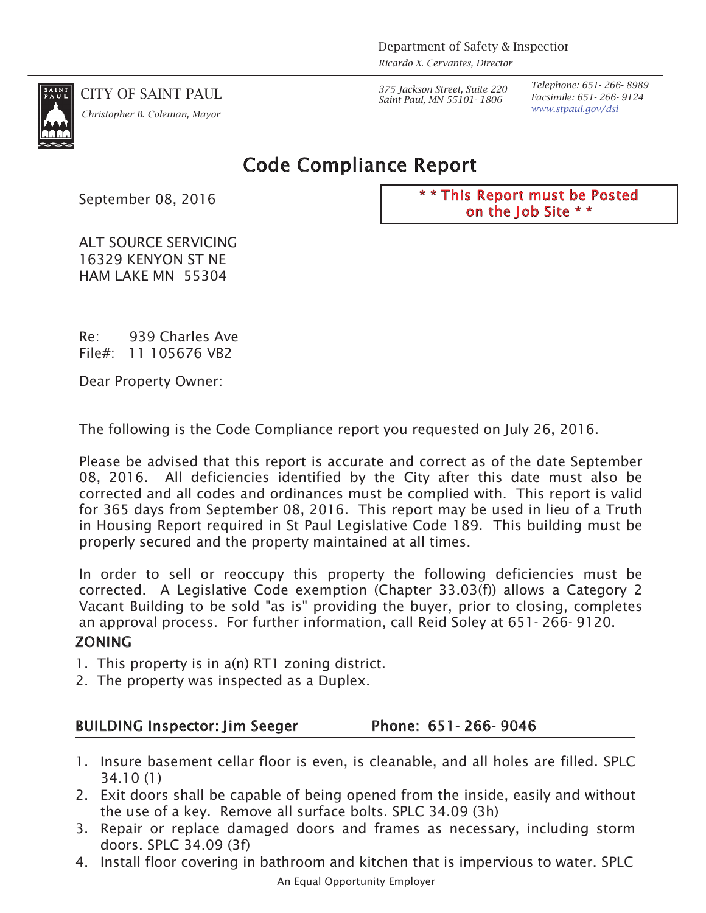

*www.stpaul.gov/dsi Christopher B. Coleman, Mayor*

CITY OF SAINT PAUL *375 Jackson Street, Suite 220 Saint Paul, MN 55101- 1806*

*Telephone: 651- 266- 8989 Facsimile: 651- 266- 9124*

# Code Compliance Report

*September 08, 2016*

\* \* This Report must be Posted on the Job Site \* \*

*ALT SOURCE SERVICING 16329 KENYON ST NE HAM LAKE MN 55304*

*Re: 939 Charles Ave File#: 11 105676 VB2*

*Dear Property Owner:*

*The following is the Code Compliance report you requested on July 26, 2016.*

*Please be advised that this report is accurate and correct as of the date September 08, 2016. All deficiencies identified by the City after this date must also be corrected and all codes and ordinances must be complied with. This report is valid for 365 days from September 08, 2016. This report may be used in lieu of a Truth in Housing Report required in St Paul Legislative Code 189. This building must be properly secured and the property maintained at all times.*

In order to sell or reoccupy this property the following deficiencies must be *corrected. A Legislative Code exemption (Chapter 33.03(f)) allows a Category 2 Vacant Building to be sold "as is" providing the buyer, prior to closing, completes an approval process. For further information, call Reid Soley at 651- 266- 9120.*

## ZONING

- *1. This property is in a(n) RT1 zoning district.*
- *2. The property was inspected as a Duplex.*

## BUILDING Inspector: Jim Seeger Phone: 651-266-9046

- 1. Insure basement cellar floor is even, is cleanable, and all holes are filled. SPLC *34.10 (1)*
- 2. Exit doors shall be capable of being opened from the inside, easily and without *the use of a key. Remove all surface bolts. SPLC 34.09 (3h)*
- 3. Repair or replace damaged doors and frames as necessary, including storm *doors. SPLC 34.09 (3f)*
- *An Equal Opportunity Employer 4. Install floor covering in bathroom and kitchen that is impervious to water. SPLC*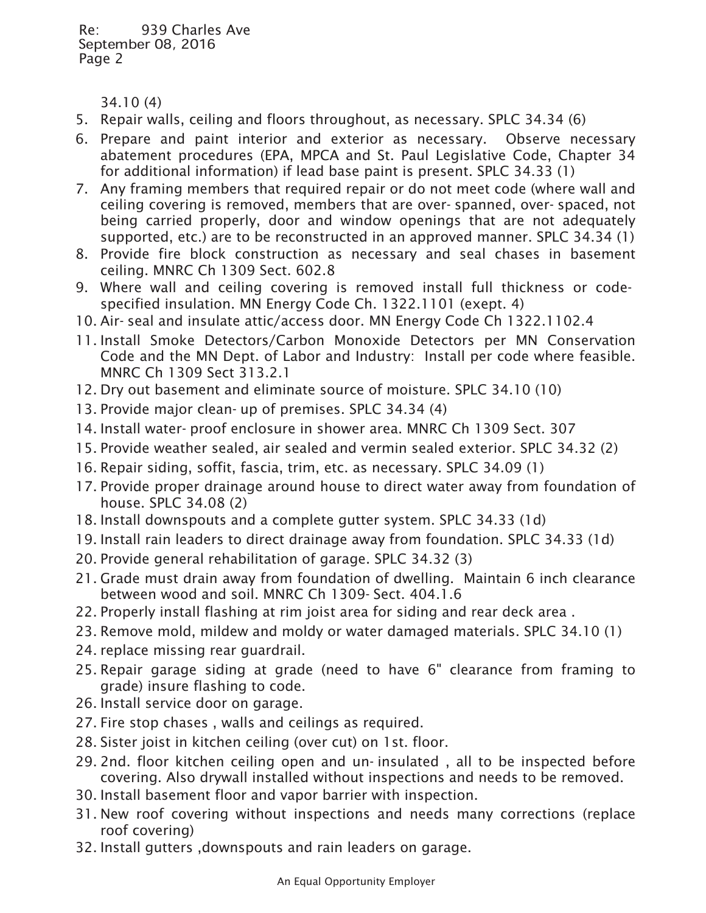*34.10 (4)*

- *5. Repair walls, ceiling and floors throughout, as necessary. SPLC 34.34 (6)*
- *6. Prepare and paint interior and exterior as necessary. Observe necessary abatement procedures (EPA, MPCA and St. Paul Legislative Code, Chapter 34 for additional information) if lead base paint is present. SPLC 34.33 (1)*
- *7. Any framing members that required repair or do not meet code (where wall and ceiling covering is removed, members that are over- spanned, over- spaced, not being carried properly, door and window openings that are not adequately supported, etc.) are to be reconstructed in an approved manner. SPLC 34.34 (1)*
- *8. Provide fire block construction as necessary and seal chases in basement ceiling. MNRC Ch 1309 Sect. 602.8*
- *9. Where wall and ceiling covering is removed install full thickness or codespecified insulation. MN Energy Code Ch. 1322.1101 (exept. 4)*
- *10. Air- seal and insulate attic/access door. MN Energy Code Ch 1322.1102.4*
- *11. Install Smoke Detectors/Carbon Monoxide Detectors per MN Conservation Code and the MN Dept. of Labor and Industry: Install per code where feasible. MNRC Ch 1309 Sect 313.2.1*
- *12. Dry out basement and eliminate source of moisture. SPLC 34.10 (10)*
- *13. Provide major clean- up of premises. SPLC 34.34 (4)*
- *14. Install water- proof enclosure in shower area. MNRC Ch 1309 Sect. 307*
- *15. Provide weather sealed, air sealed and vermin sealed exterior. SPLC 34.32 (2)*
- *16. Repair siding, soffit, fascia, trim, etc. as necessary. SPLC 34.09 (1)*
- 17. Provide proper drainage around house to direct water away from foundation of *house. SPLC 34.08 (2)*
- *18. Install downspouts and a complete gutter system. SPLC 34.33 (1d)*
- *19. Install rain leaders to direct drainage away from foundation. SPLC 34.33 (1d)*
- *20. Provide general rehabilitation of garage. SPLC 34.32 (3)*
- *21. Grade must drain away from foundation of dwelling. Maintain 6 inch clearance between wood and soil. MNRC Ch 1309- Sect. 404.1.6*
- *22. Properly install flashing at rim joist area for siding and rear deck area .*
- *23. Remove mold, mildew and moldy or water damaged materials. SPLC 34.10 (1)*
- *24. replace missing rear guardrail.*
- *25. Repair garage siding at grade (need to have 6" clearance from framing to grade) insure flashing to code.*
- *26. Install service door on garage.*
- *27. Fire stop chases , walls and ceilings as required.*
- *28. Sister joist in kitchen ceiling (over cut) on 1st. floor.*
- *29. 2nd. floor kitchen ceiling open and un- insulated , all to be inspected before covering. Also drywall installed without inspections and needs to be removed.*
- *30. Install basement floor and vapor barrier with inspection.*
- *31. New roof covering without inspections and needs many corrections (replace roof covering)*
- *32. Install gutters ,downspouts and rain leaders on garage.*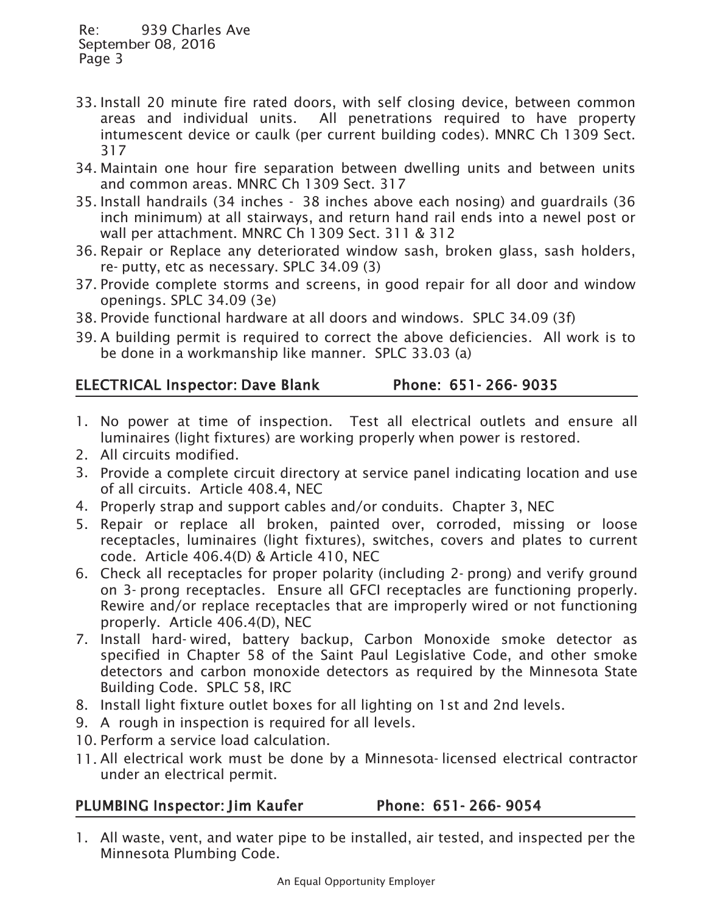- *33. Install 20 minute fire rated doors, with self closing device, between common areas and individual units. All penetrations required to have property intumescent device or caulk (per current building codes). MNRC Ch 1309 Sect. 317*
- *34. Maintain one hour fire separation between dwelling units and between units and common areas. MNRC Ch 1309 Sect. 317*
- *35. Install handrails (34 inches 38 inches above each nosing) and guardrails (36 inch minimum) at all stairways, and return hand rail ends into a newel post or wall per attachment. MNRC Ch 1309 Sect. 311 & 312*
- *36. Repair or Replace any deteriorated window sash, broken glass, sash holders, re- putty, etc as necessary. SPLC 34.09 (3)*
- *37. Provide complete storms and screens, in good repair for all door and window openings. SPLC 34.09 (3e)*
- *38. Provide functional hardware at all doors and windows. SPLC 34.09 (3f)*
- *39. A building permit is required to correct the above deficiencies. All work is to be done in a workmanship like manner. SPLC 33.03 (a)*

## ELECTRICAL Inspector: Dave Blank Phone: 651-266-9035

- 1. No power at time of inspection. Test all electrical outlets and ensure all *luminaires (light fixtures) are working properly when power is restored.*
- *2. All circuits modified.*
- *3. Provide a complete circuit directory at service panel indicating location and use of all circuits. Article 408.4, NEC*
- *4. Properly strap and support cables and/or conduits. Chapter 3, NEC*
- *5. Repair or replace all broken, painted over, corroded, missing or loose receptacles, luminaires (light fixtures), switches, covers and plates to current code. Article 406.4(D) & Article 410, NEC*
- *6. Check all receptacles for proper polarity (including 2- prong) and verify ground on 3- prong receptacles. Ensure all GFCI receptacles are functioning properly. Rewire and/or replace receptacles that are improperly wired or not functioning properly. Article 406.4(D), NEC*
- *7. Install hard- wired, battery backup, Carbon Monoxide smoke detector as specified in Chapter 58 of the Saint Paul Legislative Code, and other smoke detectors and carbon monoxide detectors as required by the Minnesota State Building Code. SPLC 58, IRC*
- *8. Install light fixture outlet boxes for all lighting on 1st and 2nd levels.*
- *9. A rough in inspection is required for all levels.*
- *10. Perform a service load calculation.*
- 11. All electrical work must be done by a Minnesota-licensed electrical contractor *under an electrical permit.*

## PLUMBING Inspector: Jim Kaufer Phone: 651-266-9054

*1. All waste, vent, and water pipe to be installed, air tested, and inspected per the Minnesota Plumbing Code.*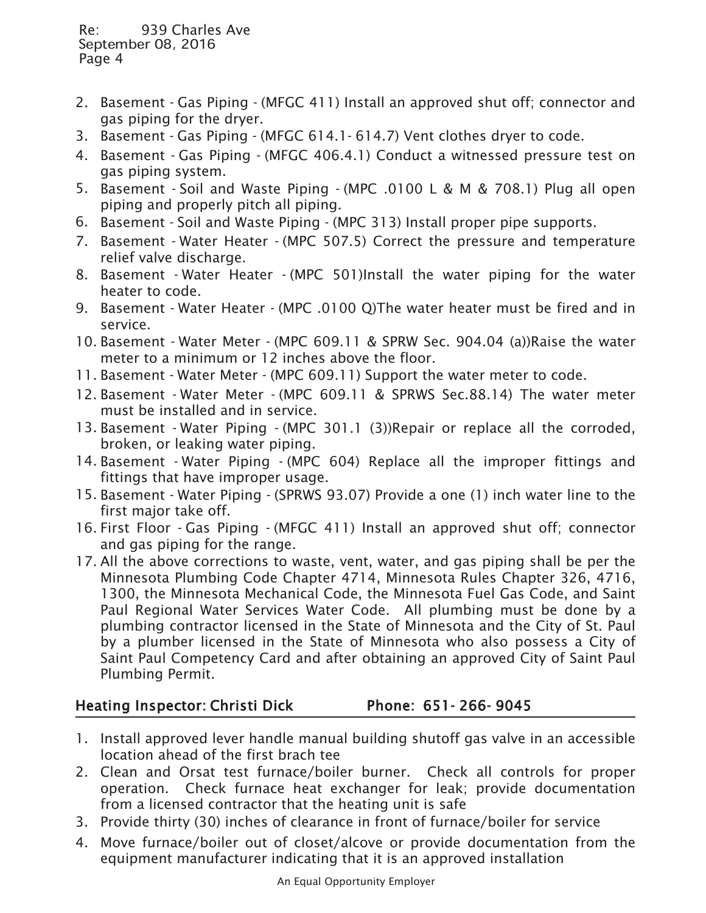- *2. Basement Gas Piping (MFGC 411) Install an approved shut off; connector and gas piping for the dryer.*
- *3. Basement Gas Piping (MFGC 614.1- 614.7) Vent clothes dryer to code.*
- *4. Basement Gas Piping (MFGC 406.4.1) Conduct a witnessed pressure test on gas piping system.*
- *5. Basement Soil and Waste Piping (MPC .0100 L & M & 708.1) Plug all open piping and properly pitch all piping.*
- *6. Basement Soil and Waste Piping (MPC 313) Install proper pipe supports.*
- *7. Basement Water Heater (MPC 507.5) Correct the pressure and temperature relief valve discharge.*
- *8. Basement Water Heater (MPC 501)Install the water piping for the water heater to code.*
- *9. Basement Water Heater (MPC .0100 Q)The water heater must be fired and in service.*
- *10. Basement Water Meter (MPC 609.11 & SPRW Sec. 904.04 (a))Raise the water meter to a minimum or 12 inches above the floor.*
- *11. Basement Water Meter (MPC 609.11) Support the water meter to code.*
- *12. Basement Water Meter (MPC 609.11 & SPRWS Sec.88.14) The water meter must be installed and in service.*
- *13. Basement Water Piping (MPC 301.1 (3))Repair or replace all the corroded, broken, or leaking water piping.*
- *14. Basement Water Piping (MPC 604) Replace all the improper fittings and fittings that have improper usage.*
- *15. Basement Water Piping (SPRWS 93.07) Provide a one (1) inch water line to the first major take off.*
- *16. First Floor Gas Piping (MFGC 411) Install an approved shut off; connector and gas piping for the range.*
- 17. All the above corrections to waste, vent, water, and gas piping shall be per the *Minnesota Plumbing Code Chapter 4714, Minnesota Rules Chapter 326, 4716, 1300, the Minnesota Mechanical Code, the Minnesota Fuel Gas Code, and Saint Paul Regional Water Services Water Code. All plumbing must be done by a plumbing contractor licensed in the State of Minnesota and the City of St. Paul by a plumber licensed in the State of Minnesota who also possess a City of Saint Paul Competency Card and after obtaining an approved City of Saint Paul Plumbing Permit.*

## Heating Inspector: Christi Dick Phone: 651-266-9045

- *1. Install approved lever handle manual building shutoff gas valve in an accessible location ahead of the first brach tee*
- *2. Clean and Orsat test furnace/boiler burner. Check all controls for proper operation. Check furnace heat exchanger for leak; provide documentation from a licensed contractor that the heating unit is safe*
- *3. Provide thirty (30) inches of clearance in front of furnace/boiler for service*
- *4. Move furnace/boiler out of closet/alcove or provide documentation from the equipment manufacturer indicating that it is an approved installation*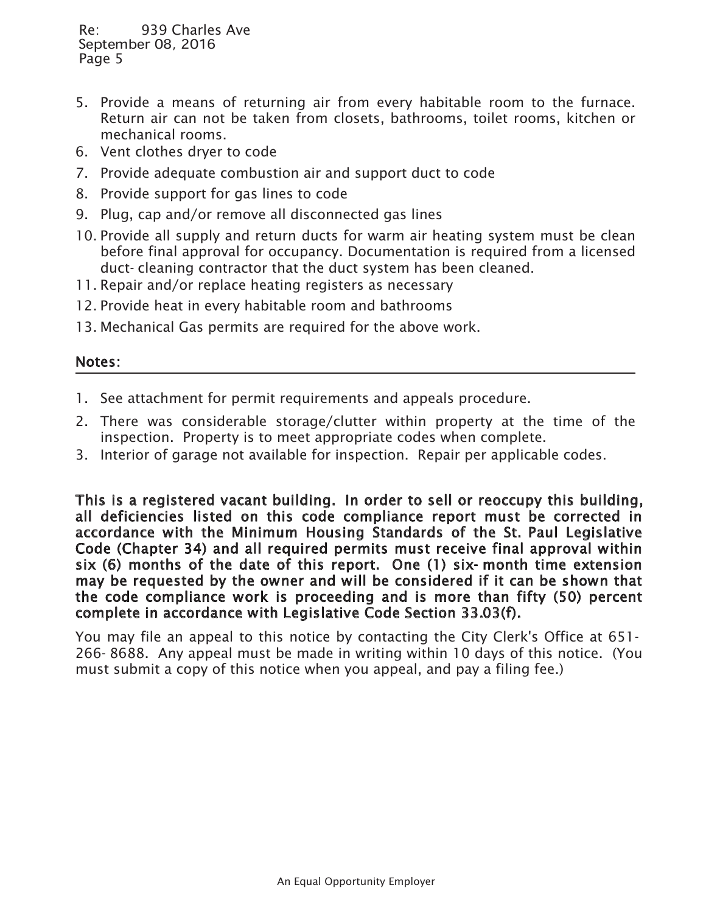- *5. Provide a means of returning air from every habitable room to the furnace. Return air can not be taken from closets, bathrooms, toilet rooms, kitchen or mechanical rooms.*
- *6. Vent clothes dryer to code*
- *7. Provide adequate combustion air and support duct to code*
- *8. Provide support for gas lines to code*
- *9. Plug, cap and/or remove all disconnected gas lines*
- 10. Provide all supply and return ducts for warm air heating system must be clean *before final approval for occupancy. Documentation is required from a licensed duct- cleaning contractor that the duct system has been cleaned.*
- *11. Repair and/or replace heating registers as necessary*
- *12. Provide heat in every habitable room and bathrooms*
- *13. Mechanical Gas permits are required for the above work.*

#### Notes:

- *1. See attachment for permit requirements and appeals procedure.*
- 2. There was considerable storage/clutter within property at the time of the *inspection. Property is to meet appropriate codes when complete.*
- *3. Interior of garage not available for inspection. Repair per applicable codes.*

This is a registered vacant building. In order to sell or reoccupy this building, all deficiencies listed on this code compliance report must be corrected in accordance with the Minimum Housing Standards of the St. Paul Legislative Code (Chapter 34) and all required permits must receive final approval within six (6) months of the date of this report. One (1) six- month time extension may be requested by the owner and will be considered if it can be shown that the code compliance work is proceeding and is more than fifty (50) percent complete in accordance with Legislative Code Section 33.03(f).

*You may file an appeal to this notice by contacting the City Clerk's Office at 651- 266- 8688. Any appeal must be made in writing within 10 days of this notice. (You must submit a copy of this notice when you appeal, and pay a filing fee.)*